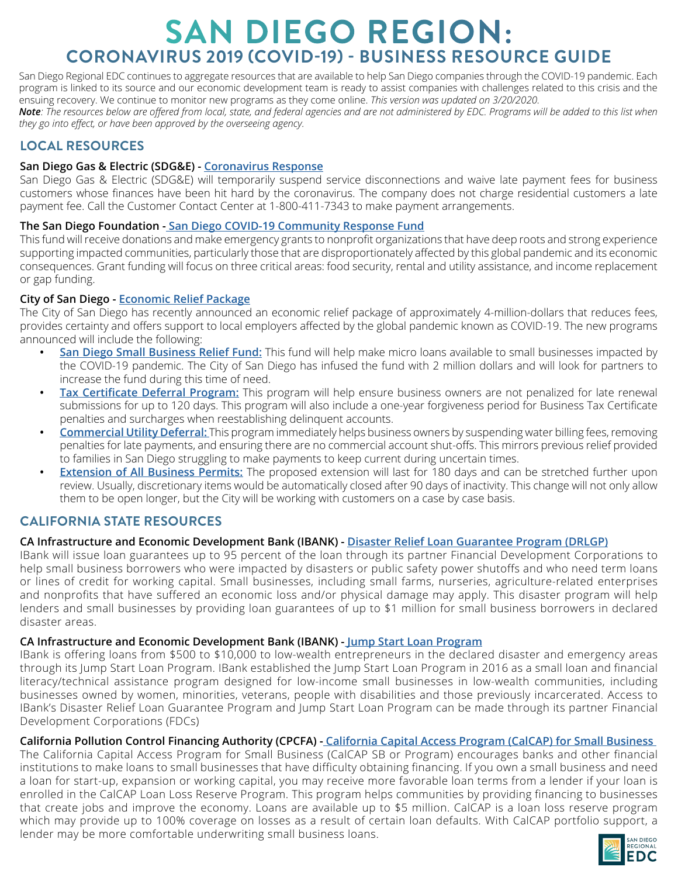## **SAN DIEGO REGION: CORONAVIRUS 2019 (COVID-19) - BUSINESS RESOURCE GUIDE**

San Diego Regional EDC continues to aggregate resources that are available to help San Diego companies through the COVID-19 pandemic. Each program is linked to its source and our economic development team is ready to assist companies with challenges related to this crisis and the ensuing recovery. We continue to monitor new programs as they come online. *This version was updated on 3/20/2020.*

*Note: The resources below are offered from local, state, and federal agencies and are not administered by EDC. Programs will be added to this list when they go into effect, or have been approved by the overseeing agency.*

## **LOCAL RESOURCES**

#### **San Diego Gas & Electric (SDG&E) - [Coronavirus Response](G:\Economic Development\BEAR Projects\2020\Non-Projects\Research\COVID-19)**

San Diego Gas & Electric (SDG&E) will temporarily suspend service disconnections and waive late payment fees for business customers whose finances have been hit hard by the coronavirus. The company does not charge residential customers a late payment fee. Call the Customer Contact Center at 1-800-411-7343 to make payment arrangements.

### **The San Diego Foundation - [San Diego COVID-19 Community Response Fund](https://www.sdfoundation.org/programs/programs-and-funds/san-diego-covid-19-community-response-fund/)**

This fund will receive donations and make emergency grants to nonprofit organizations that have deep roots and strong experience supporting impacted communities, particularly those that are disproportionately affected by this global pandemic and its economic consequences. Grant funding will focus on three critical areas: food security, rental and utility assistance, and income replacement or gap funding.

### **City of San Diego - [Economic Relief Package](https://www.sandiego.gov/mayor/news/releases/mayor-faulconer-outlines-economic-relief-package-san-diego-businesses-affected-covid-19)**

The City of San Diego has recently announced an economic relief package of approximately 4-million-dollars that reduces fees, provides certainty and offers support to local employers affected by the global pandemic known as COVID-19. The new programs announced will include the following:

- **• [San Diego Small Business Relief Fund:](https://www.sandiego.gov/economic-development/resources/injury)** This fund will help make micro loans available to small businesses impacted by the COVID-19 pandemic. The City of San Diego has infused the fund with 2 million dollars and will look for partners to increase the fund during this time of need.
- **• Tax Certificate Deferral Program:** This program will help ensure business owners are not penalized for late renewal submissions for up to 120 days. This program will also include a one-year forgiveness period for Business Tax Certificate penalties and surcharges when reestablishing delinquent accounts.
- **• Commercial Utility Deferral:** This program immediately helps business owners by suspending water billing fees, removing penalties for late payments, and ensuring there are no commercial account shut-offs. This mirrors previous relief provided to families in San Diego struggling to make payments to keep current during uncertain times.
- **• Extension of All Business Permits:** The proposed extension will last for 180 days and can be stretched further upon review. Usually, discretionary items would be automatically closed after 90 days of inactivity. This change will not only allow them to be open longer, but the City will be working with customers on a case by case basis.

## **CALIFORNIA STATE RESOURCES**

## **CA Infrastructure and Economic Development Bank (IBANK) - [Disaster Relief Loan Guarantee Program \(DRLGP\)](https://www.ibank.ca.gov/small-business-finance-center/)**

IBank will issue loan guarantees up to 95 percent of the loan through its partner Financial Development Corporations to help small business borrowers who were impacted by disasters or public safety power shutoffs and who need term loans or lines of credit for working capital. Small businesses, including small farms, nurseries, agriculture-related enterprises and nonprofits that have suffered an economic loss and/or physical damage may apply. This disaster program will help lenders and small businesses by providing loan guarantees of up to \$1 million for small business borrowers in declared disaster areas.

#### **CA Infrastructure and Economic Development Bank (IBANK) [- Jump Start Loan Program](https://www.ibank.ca.gov/small-business-finance-center/)**

IBank is offering loans from \$500 to \$10,000 to low-wealth entrepreneurs in the declared disaster and emergency areas through its Jump Start Loan Program. IBank established the Jump Start Loan Program in 2016 as a small loan and financial literacy/technical assistance program designed for low-income small businesses in low-wealth communities, including businesses owned by women, minorities, veterans, people with disabilities and those previously incarcerated. Access to IBank's Disaster Relief Loan Guarantee Program and Jump Start Loan Program can be made through its partner Financial Development Corporations (FDCs)

#### **California Pollution Control Financing Authority (CPCFA) - [California Capital Access Program \(CalCAP\) for Small Business](https://www.treasurer.ca.gov/cpcfa/calcap/sb/index.asp)**

The California Capital Access Program for Small Business (CalCAP SB or Program) encourages banks and other financial institutions to make loans to small businesses that have difficulty obtaining financing. If you own a small business and need a loan for start-up, expansion or working capital, you may receive more favorable loan terms from a lender if your loan is enrolled in the CalCAP Loan Loss Reserve Program. This program helps communities by providing financing to businesses that create jobs and improve the economy. Loans are available up to \$5 million. CalCAP is a loan loss reserve program which may provide up to 100% coverage on losses as a result of certain loan defaults. With CalCAP portfolio support, a lender may be more comfortable underwriting small business loans.

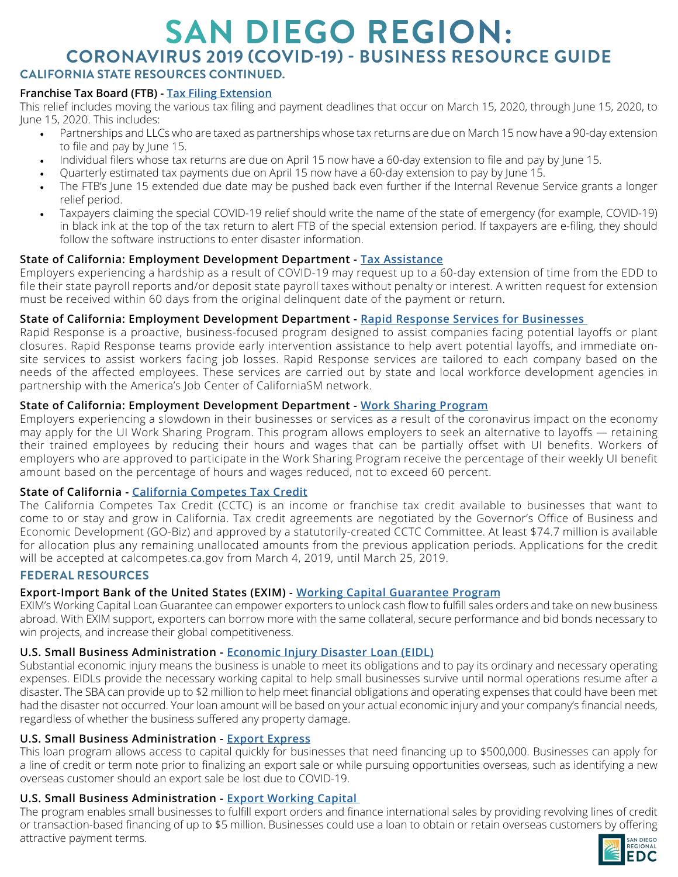## **SAN DIEGO REGION: CORONAVIRUS 2019 (COVID-19) - BUSINESS RESOURCE GUIDE CALIFORNIA STATE RESOURCES CONTINUED.**

#### **Franchise Tax Board (FTB) - [Tax Filing Extension](https://www.ftb.ca.gov/about-ftb/newsroom/news-releases/2020-2-more-time-to-file-pay-for-california-taxpayers-affected-by-the-covid-19-pandemic.html?WT.ac=COVID-19)**

This relief includes moving the various tax filing and payment deadlines that occur on March 15, 2020, through June 15, 2020, to June 15, 2020. This includes:

- Partnerships and LLCs who are taxed as partnerships whose tax returns are due on March 15 now have a 90-day extension to file and pay by June 15.
- Individual filers whose tax returns are due on April 15 now have a 60-day extension to file and pay by June 15.
- Quarterly estimated tax payments due on April 15 now have a 60-day extension to pay by June 15.
- The FTB's June 15 extended due date may be pushed back even further if the Internal Revenue Service grants a longer relief period.
- Taxpayers claiming the special COVID-19 relief should write the name of the state of emergency (for example, COVID-19) in black ink at the top of the tax return to alert FTB of the special extension period. If taxpayers are e-filing, they should follow the software instructions to enter disaster information.

#### **State of California: Employment Development Department - [Tax Assistance](https://www.edd.ca.gov/about_edd/coronavirus-2019.htm)**

Employers experiencing a hardship as a result of COVID-19 may request up to a 60-day extension of time from the EDD to file their state payroll reports and/or deposit state payroll taxes without penalty or interest. A written request for extension must be received within 60 days from the original delinquent date of the payment or return.

#### **State of California: Employment Development Department - [Rapid Response Services for Businesses](https://www.edd.ca.gov/about_edd/coronavirus-2019.htm)**

Rapid Response is a proactive, business-focused program designed to assist companies facing potential layoffs or plant closures. Rapid Response teams provide early intervention assistance to help avert potential layoffs, and immediate onsite services to assist workers facing job losses. Rapid Response services are tailored to each company based on the needs of the affected employees. These services are carried out by state and local workforce development agencies in partnership with the America's Job Center of CaliforniaSM network.

#### **State of California: Employment Development Department - [Work Sharing Program](https://www.edd.ca.gov/Unemployment/Work_Sharing_Program.htm)**

Employers experiencing a slowdown in their businesses or services as a result of the coronavirus impact on the economy may apply for the UI Work Sharing Program. This program allows employers to seek an alternative to layoffs — retaining their trained employees by reducing their hours and wages that can be partially offset with UI benefits. Workers of employers who are approved to participate in the Work Sharing Program receive the percentage of their weekly UI benefit amount based on the percentage of hours and wages reduced, not to exceed 60 percent.

#### **State of California - [California Competes Tax Credit](https://www.ftb.ca.gov/about-ftb/newsroom/tax-news/march-2019/california-competes-tax-credit.html)**

The California Competes Tax Credit (CCTC) is an income or franchise tax credit available to businesses that want to come to or stay and grow in California. Tax credit agreements are negotiated by the Governor's Office of Business and Economic Development (GO-Biz) and approved by a statutorily-created CCTC Committee. At least \$74.7 million is available for allocation plus any remaining unallocated amounts from the previous application periods. Applications for the credit will be accepted at calcompetes.ca.gov from March 4, 2019, until March 25, 2019.

#### **FEDERAL RESOURCES**

#### **Export-Import Bank of the United States (EXIM) - [Working Capital Guarantee Program](https://www.exim.gov/what-we-do/working-capital)**

EXIM's Working Capital Loan Guarantee can empower exporters to unlock cash flow to fulfill sales orders and take on new business abroad. With EXIM support, exporters can borrow more with the same collateral, secure performance and bid bonds necessary to win projects, and increase their global competitiveness.

#### **U.S. Small Business Administration - [Economic Injury Disaster Loan \(EIDL\)](https://disasterloan.sba.gov/ela/Information/EIDLLoans)**

Substantial economic injury means the business is unable to meet its obligations and to pay its ordinary and necessary operating expenses. EIDLs provide the necessary working capital to help small businesses survive until normal operations resume after a disaster. The SBA can provide up to \$2 million to help meet financial obligations and operating expenses that could have been met had the disaster not occurred. Your loan amount will be based on your actual economic injury and your company's financial needs, regardless of whether the business suffered any property damage.

#### **U.S. Small Business Administration - [Export Express](https://www.sba.gov/offices/headquarters/oit/resources/5715)**

This loan program allows access to capital quickly for businesses that need financing up to \$500,000. Businesses can apply for a line of credit or term note prior to finalizing an export sale or while pursuing opportunities overseas, such as identifying a new overseas customer should an export sale be lost due to COVID-19.

## **U.S. Small Business Administration - [Export Working Capital](https://2016.export.gov/reee/guide/eg_main_022152.asp)**

The program enables small businesses to fulfill export orders and finance international sales by providing revolving lines of credit or transaction-based financing of up to \$5 million. Businesses could use a loan to obtain or retain overseas customers by offering attractive payment terms.

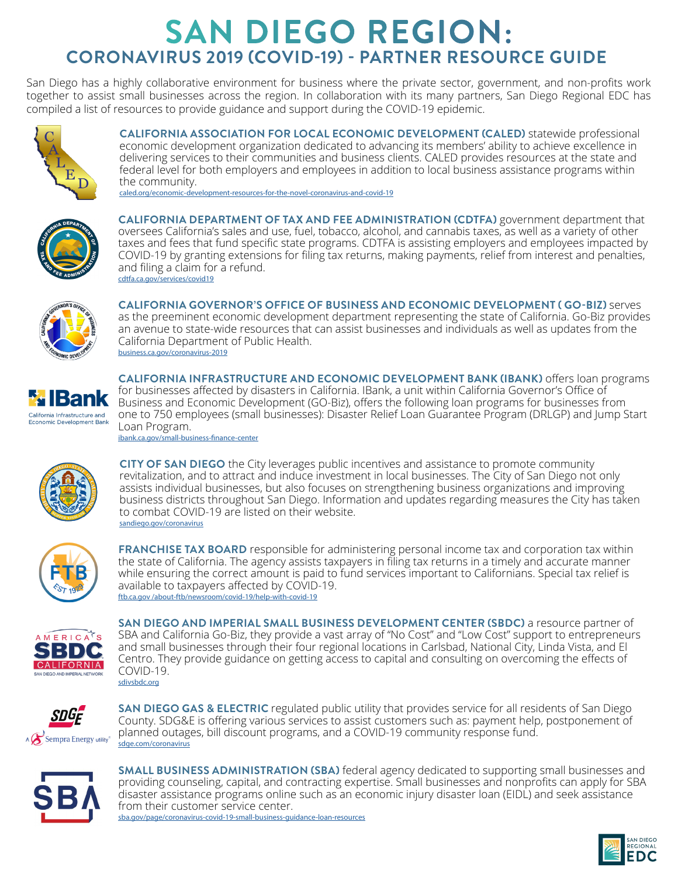# **SAN DIEGO REGION: CORONAVIRUS 2019 (COVID-19) - PARTNER RESOURCE GUIDE**

San Diego has a highly collaborative environment for business where the private sector, government, and non-profits work together to assist small businesses across the region. In collaboration with its many partners, San Diego Regional EDC has compiled a list of resources to provide guidance and support during the COVID-19 epidemic.



**CALIFORNIA ASSOCIATION FOR LOCAL ECONOMIC DEVELOPMENT (CALED)** statewide professional economic development organization dedicated to advancing its members' ability to achieve excellence in delivering services to their communities and business clients. CALED provides resources at the state and federal level for both employers and employees in addition to local business assistance programs within the community.

[caled.org/economic-development-resources-for-the-novel-coronavirus-and-covid-19](G:\Economic Development\BEAR Projects\2020\Non-Projects\Research\COVID-19)



**CALIFORNIA DEPARTMENT OF TAX AND FEE ADMINISTRATION (CDTFA)** government department that oversees California's sales and use, fuel, tobacco, alcohol, and cannabis taxes, as well as a variety of other taxes and fees that fund specific state programs. CDTFA is assisting employers and employees impacted by COVID-19 by granting extensions for filing tax returns, making payments, relief from interest and penalties, and filing a claim for a refund. [cdtfa.ca.gov/services/covid19](https://www.ibank.ca.gov/small-business-finance-center/)



**CALIFORNIA GOVERNOR'S OFFICE OF BUSINESS AND ECONOMIC DEVELOPMENT ( GO-BIZ)** serves as the preeminent economic development department representing the state of California. Go-Biz provides an avenue to state-wide resources that can assist businesses and individuals as well as updates from the California Department of Public Health. [business.ca.gov/coronavirus-2019](https://www.treasurer.ca.gov/cpcfa/calcap/sb/index.asp)



**CALIFORNIA INFRASTRUCTURE AND ECONOMIC DEVELOPMENT BANK (IBANK)** offers loan programs for businesses affected by disasters in California. IBank, a unit within California Governor's Office of Business and Economic Development (GO-Biz), offers the following loan programs for businesses from one to 750 employees (small businesses): Disaster Relief Loan Guarantee Program (DRLGP) and Jump Start Loan Program. [ibank.ca.gov/small-business-finance-center](https://www.ibank.ca.gov/small-business-finance-center/)



**CITY OF SAN DIEGO** the City leverages public incentives and assistance to promote community revitalization, and to attract and induce investment in local businesses. The City of San Diego not only assists individual businesses, but also focuses on strengthening business organizations and improving business districts throughout San Diego. Information and updates regarding measures the City has taken to combat COVID-19 are listed on their website. [sandiego.gov/coronavirus](https://www.edd.ca.gov/Unemployment/Work_Sharing_Program.htm)



**FRANCHISE TAX BOARD** responsible for administering personal income tax and corporation tax within the state of California. The agency assists taxpayers in filing tax returns in a timely and accurate manner while ensuring the correct amount is paid to fund services important to Californians. Special tax relief is available to taxpayers affected by COVID-19. [ftb.ca.gov /about-ftb/newsroom/covid-19/help-with-covid-19](https://www.sdfoundation.org/programs/programs-and-funds/san-diego-covid-19-community-response-fund/)



**SAN DIEGO AND IMPERIAL SMALL BUSINESS DEVELOPMENT CENTER (SBDC)** a resource partner of SBA and California Go-Biz, they provide a vast array of "No Cost" and "Low Cost" support to entrepreneurs and small businesses through their four regional locations in Carlsbad, National City, Linda Vista, and El Centro. They provide guidance on getting access to capital and consulting on overcoming the effects of COVID-19. [sdivsbdc.org](https://disasterloan.sba.gov/ela/Information/EIDLLoans)



**SAN DIEGO GAS & ELECTRIC** regulated public utility that provides service for all residents of San Diego County. SDG&E is offering various services to assist customers such as: payment help, postponement of planned outages, bill discount programs, and a COVID-19 community response fund. [sdge.com/coronavirus](https://www.exim.gov/what-we-do/working-capital)



**SMALL BUSINESS ADMINISTRATION (SBA)** federal agency dedicated to supporting small businesses and providing counseling, capital, and contracting expertise. Small businesses and nonprofits can apply for SBA disaster assistance programs online such as an economic injury disaster loan (EIDL) and seek assistance from their customer service center. [sba.gov/page/coronavirus-covid-19-small-business-guidance-loan-resources](https://2016.export.gov/reee/guide/eg_main_022152.asp)

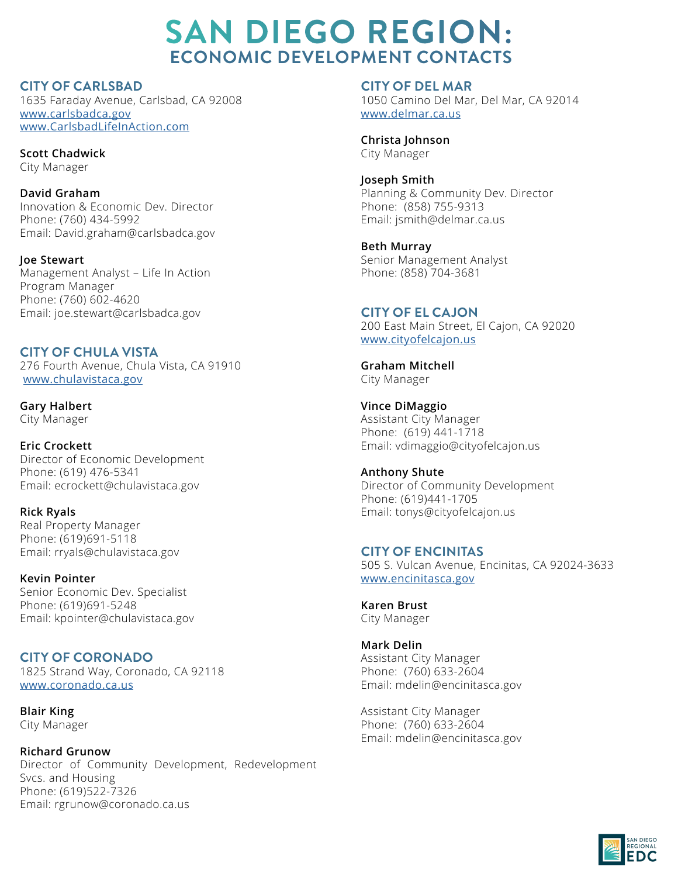**CITY OF CARLSBAD** 1635 Faraday Avenue, Carlsbad, CA 92008 [www.carlsbadca.gov](http://www.carlsbadca.gov  ) [www.CarlsbadLifeInAction.com](http://www.CarlsbadLifeInAction.com )

**Scott Chadwick** City Manager

**David Graham** Innovation & Economic Dev. Director Phone: (760) 434-5992 Email: David.graham@carlsbadca.gov

**Joe Stewart** Management Analyst – Life In Action Program Manager Phone: (760) 602-4620 Email: joe.stewart@carlsbadca.gov

**CITY OF CHULA VISTA**  276 Fourth Avenue, Chula Vista, CA 91910 [www.c](http://www.carlsbadca.gov  )hulavistaca.gov

**Gary Halbert** City Manager

**Eric Crockett** Director of Economic Development Phone: (619) 476-5341 Email: ecrockett@chulavistaca.gov

**Rick Ryals** Real Property Manager Phone: (619)691-5118 Email: rryals@chulavistaca.gov

**Kevin Pointer** Senior Economic Dev. Specialist Phone: (619)691-5248 Email: kpointer@chulavistaca.gov

**CITY OF CORONADO** 1825 Strand Way, Coronado, CA 92118 www.coronado.ca.us

**Blair King** City Manager

**Richard Grunow** Director of Community Development, Redevelopment Svcs. and Housing Phone: (619)522-7326 Email: rgrunow@coronado.ca.us

**CITY OF DEL MAR**  1050 Camino Del Mar, Del Mar, CA 92014 [www.delmar.ca.us](http://www.delmar.ca.us)

**Christa Johnson** City Manager

**Joseph Smith** Planning & Community Dev. Director Phone: (858) 755-9313 Email: jsmith@delmar.ca.us

**Beth Murray** Senior Management Analyst Phone: (858) 704-3681

**CITY OF EL CAJON**  200 East Main Street, El Cajon, CA 92020 [www.](http://www.delmar.ca.us)cityofelcajon.us

**Graham Mitchell** City Manager

**Vince DiMaggio** Assistant City Manager Phone: (619) 441-1718 Email: vdimaggio@cityofelcajon.us

**Anthony Shute** Director of Community Development Phone: (619)441-1705 Email: tonys@cityofelcajon.us

**CITY OF ENCINITAS** 505 S. Vulcan Avenue, Encinitas, CA 92024-3633 [www.](http://www.delmar.ca.us)encinitasca.gov

**Karen Brust** City Manager

**Mark Delin** Assistant City Manager Phone: (760) 633-2604 Email: mdelin@encinitasca.gov

Assistant City Manager Phone: (760) 633-2604 Email: mdelin@encinitasca.gov

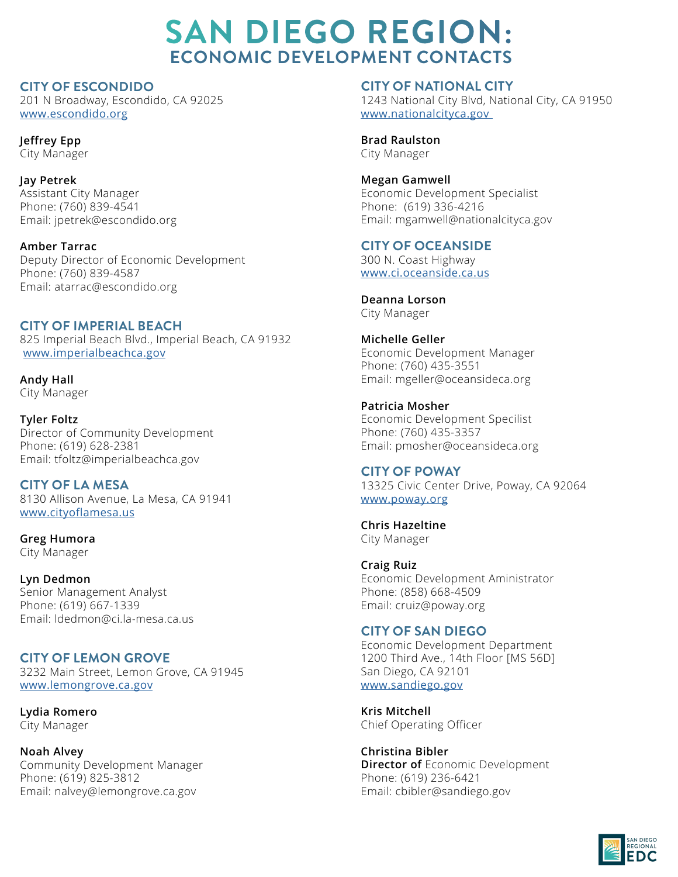**CITY OF ESCONDIDO** 201 N Broadway, Escondido, CA 92025 [www.](http://www.carlsbadca.gov  )escondido.org

**Jeffrey Epp** City Manager

**Jay Petrek** Assistant City Manager Phone: (760) 839-4541 Email: jpetrek@escondido.org

**Amber Tarrac** Deputy Director of Economic Development Phone: (760) 839-4587 Email: atarrac@escondido.org

## **CITY OF IMPERIAL BEACH**

825 Imperial Beach Blvd., Imperial Beach, CA 91932 [www.](http://www.carlsbadca.gov  )imperialbeachca.gov

**Andy Hall** City Manager

**Tyler Foltz** Director of Community Development Phone: (619) 628-2381 Email: tfoltz@imperialbeachca.gov

**CITY OF LA MESA** 8130 Allison Avenue, La Mesa, CA 91941 www.cityoflamesa.us

**Greg Humora** City Manager

**Lyn Dedmon** Senior Management Analyst Phone: (619) 667-1339 Email: ldedmon@ci.la-mesa.ca.us

**CITY OF LEMON GROVE** 3232 Main Street, Lemon Grove, CA 91945 www.lemongrove.ca.gov

**Lydia Romero** City Manager

**Noah Alvey** Community Development Manager Phone: (619) 825-3812 Email: nalvey@lemongrove.ca.gov

**CITY OF NATIONAL CITY**  1243 National City Blvd, National City, CA 91950 [www.](http://www.delmar.ca.us)nationalcityca.gov

**Brad Raulston** City Manager

**Megan Gamwell** Economic Development Specialist Phone: (619) 336-4216 Email: mgamwell@nationalcityca.gov

**CITY OF OCEANSIDE** 

300 N. Coast Highway [www.](http://www.delmar.ca.us)ci.oceanside.ca.us

**Deanna Lorson** City Manager

**Michelle Geller** Economic Development Manager Phone: (760) 435-3551 Email: mgeller@oceansideca.org

**Patricia Mosher** Economic Development Specilist Phone: (760) 435-3357 Email: pmosher@oceansideca.org

**CITY OF POWAY** 13325 Civic Center Drive, Poway, CA 92064 [www.](http://www.delmar.ca.us)poway.org

**Chris Hazeltine** City Manager

**Craig Ruiz**  Economic Development Aministrator Phone: (858) 668-4509 Email: cruiz@poway.org

## **CITY OF SAN DIEGO**

Economic Development Department 1200 Third Ave., 14th Floor [MS 56D] San Diego, CA 92101 [www.](http://www.delmar.ca.us)sandiego.gov

**Kris Mitchell** Chief Operating Officer

**Christina Bibler Director of** Economic Development Phone: (619) 236-6421 Email: cbibler@sandiego.gov

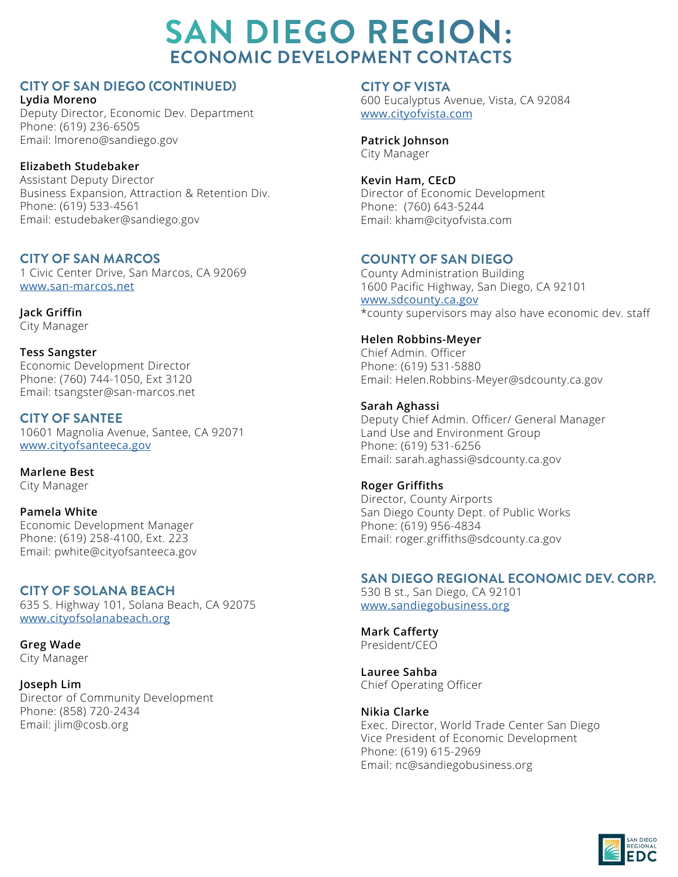## **CITY OF SAN DIEGO (CONTINUED)**

**Lydia Moreno**  Deputy Director, Economic Dev. Department Phone: (619) 236-6505 Email: lmoreno@sandiego.gov

## **Elizabeth Studebaker**

Assistant Deputy Director Business Expansion, Attraction & Retention Div. Phone: (619) 533-4561 Email: estudebaker@sandiego.gov

## **CITY OF SAN MARCOS**

1 Civic Center Drive, San Marcos, CA 92069 [www.](http://www.carlsbadca.gov  )san-marcos.net

**Jack Griffin** City Manager

**Tess Sangster** Economic Development Director Phone: (760) 744-1050, Ext 3120 Email: tsangster@san-marcos.net

**CITY OF SANTEE** 10601 Magnolia Avenue, Santee, CA 92071 www.cityofsanteeca.gov

**Marlene Best** City Manager

**Pamela White**  Economic Development Manager Phone: (619) 258-4100, Ext. 223 Email: pwhite@cityofsanteeca.gov

## **CITY OF SOLANA BEACH**

635 S. Highway 101, Solana Beach, CA 92075 www.cityofsolanabeach.org

**Greg Wade** City Manager

**Joseph Lim** Director of Community Development Phone: (858) 720-2434 Email: jlim@cosb.org

**CITY OF VISTA**

600 Eucalyptus Avenue, Vista, CA 92084 [www.](http://www.delmar.ca.us)cityofvista.com

**Patrick Johnson** City Manager

#### **Kevin Ham, CEcD** Director of Economic Development Phone: (760) 643-5244

Email: kham@cityofvista.com

## **COUNTY OF SAN DIEGO**

County Administration Building 1600 Pacific Highway, San Diego, CA 92101 [www.](http://www.delmar.ca.us)sdcounty.ca.gov \*county supervisors may also have economic dev. staff

## **Helen Robbins-Meyer**

Chief Admin. Officer Phone: (619) 531-5880 Email: Helen.Robbins-Meyer@sdcounty.ca.gov

## **Sarah Aghassi**

Deputy Chief Admin. Officer/ General Manager Land Use and Environment Group Phone: (619) 531-6256 Email: sarah.aghassi@sdcounty.ca.gov

#### **Roger Griffiths**

Director, County Airports San Diego County Dept. of Public Works Phone: (619) 956-4834 Email: roger.griffiths@sdcounty.ca.gov

## **SAN DIEGO REGIONAL ECONOMIC DEV. CORP.**

530 B st., San Diego, CA 92101 [www.](http://www.delmar.ca.us)sandiegobusiness.org

**Mark Cafferty** President/CEO

**Lauree Sahba** Chief Operating Officer

## **Nikia Clarke**

Exec. Director, World Trade Center San Diego Vice President of Economic Development Phone: (619) 615-2969 Email: nc@sandiegobusiness.org